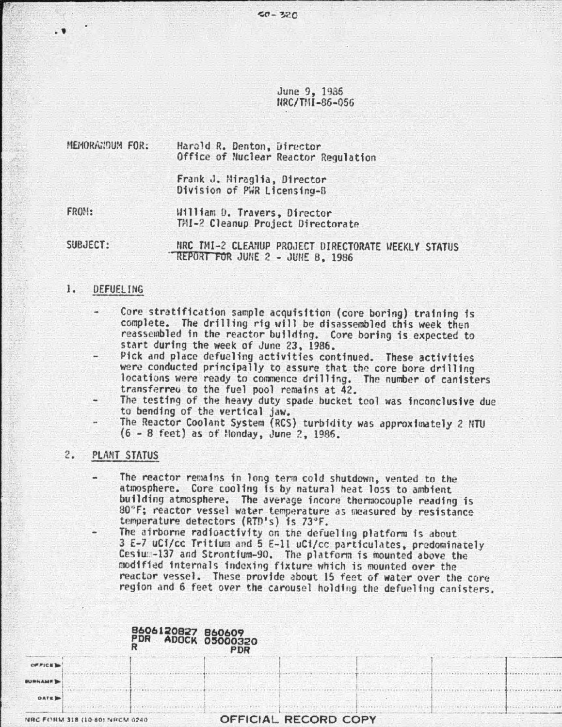June 9, 1985 flRC/Ttll-86-056

~-----------------------------------------------------------------------~

### MEMORANDUM FOR: Harold R. Denton, Director Office of Nuclear Reactor Regulation

Frank J. Niraglia, Director Division of PWR Licensing-B

FRON:

. ~

U111fam IJ. Travers, Director TMI-2 Cleanup Project Directorate

SUBJECT:

NRC TMI-2 CLEANUP PROJECT DIRECTORATE WEEKLY STATUS REPORT FOR JUNE 2 - JUNE 8, 1986

## 1. DEFUELING

- Core stratification sample acquisition (core boring) training is complete. The drilling rig uill be disassembled this week then reassembled fn the reactor building. Core boring is expected to start during the week of June 23. 1986.
- Pick and place defueling activities continued. These activities were conducted principally to assure that the core bore drilling<br>locations were ready to commence drilling. The number of canisters transferreu to the fuel pool remains at 42.
- The testing of the heavy duty spade bucket tool was inconclusive due to bending of the vertical jaw.
	- The Reactor Coolant System (RCS) turbidity was approximately 2 NTU  $(6 - 8$  feet) as of Nonday, June 2, 1986.

## 2. PLANT STATUS

- The reactor remains in long term cold shutdown, vented to the atmosphere. Core cooling is by natural heat loss to ambient building atmosphere. The average incore thermocouple reading is 80°F; reactor vessel water temperature as measured by resistance temperature detectors (RTD's) is 73°F.
	- The airborne radioactivity on the defueling platform is about<br>3 E-7 uCi/cc Tritium and 5 E-11 uCi/cc particulates, predominately Cesium-137 and Strontium-90. The platform is mounted above the modified internals indexing fixture which is mounted over the reactor vessel. These provide about 15 feet of water over the core region and 6 feet over the carousel holding the defueling canisters.

|                |                                | 8606120827 860609<br>PDR | <b>ADOCK 05000320</b><br><b>PDR</b> |                      |  |  |
|----------------|--------------------------------|--------------------------|-------------------------------------|----------------------|--|--|
| OFFICE         |                                |                          |                                     |                      |  |  |
| <b>BURNAME</b> |                                |                          |                                     |                      |  |  |
| <b>DATE</b>    |                                |                          |                                     |                      |  |  |
|                | NRC FORM 318 (10-80) NRCM 0240 |                          |                                     | OFFICIAL RECORD COPY |  |  |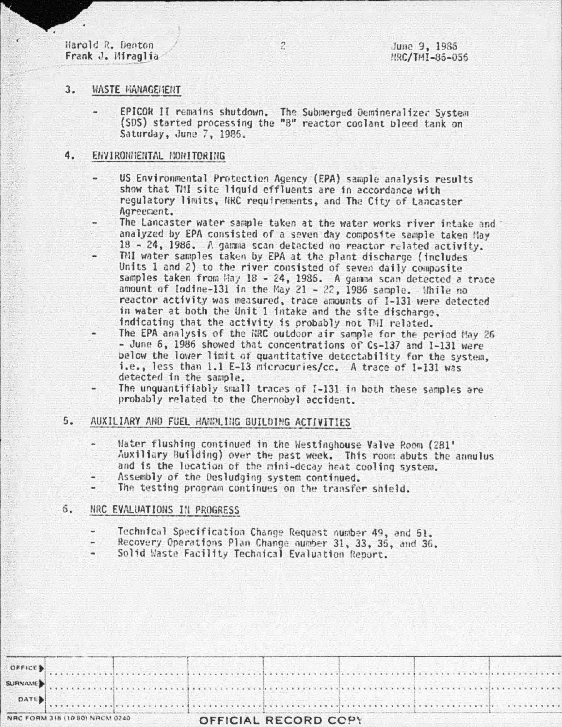Harold R. Denton Frank J. Miraglia

### $3.$ *WASTE MANAGEMENT*

EPICOR II remains shutdown. The Submerged Demineralizer System (SDS) started processing the "B" reactor coolant bleed tank on Saturday, June 7, 1986.

 $\overline{2}$ 

#### 4. ENVIRONMENTAL MONITORING

- US Environmental Protection Agency (EPA) sample analysis results show that TMI site liquid effluents are in accordance with regulatory limits, NRC requirements, and The City of Lancaster Agreement.
- The Lancaster water sample taken at the water works river intake and analyzed by EPA consisted of a seven day composite sample taken May 18 - 24, 1986. A gamma scan detected no reactor related activity.
- TNI water samples taken by EPA at the plant discharge (includes Units 1 and 2) to the river consisted of seven daily composite samples taken from Hay 18 - 24, 1985. A gamma scan detected a trace amount of Iodine-131 in the May 21 - 22, 1986 sample. While no reactor activity was measured, trace amounts of I-131 were detected in water at both the Unit 1 intake and the site discharge. indicating that the activity is probably not TMI related.
- The EPA analysis of the NRC outdoor air sample for the period May 26 - June 6, 1986 showed that concentrations of Cs-137 and I-131 were below the lower limit of quantitative detectability for the system, i.e., less than 1.1 E-13 microcuries/cc. A trace of I-131 was detected in the sample.
- The unquantifiably small traces of I-131 in both these samples are probably related to the Chernobyl accident.

### $5.$ AUXILIARY AND FUEL HANDLING BUILDING ACTIVITIES

- Water flushing continued in the Westinghouse Valve Room (281' Auxiliary Building) over the past week. This room abuts the annulus and is the location of the mini-decay heat cooling system.
- Assembly of the Desludging system continued.
- The testing program continues on the transfer shield.

#### 6. NRC EVALUATIONS IN PROGRESS

- Technical Specification Change Request number 49, and 51.
- Recovery Operations Plan Change number 31, 33, 35, and 36.
- Solid Waste Facility Technical Evaluation Report.

|  |  | sign and so the problems of the state of the state of the specifical state and state of the state of the state<br>family with a finite series of the family of the column state of the state series and the state of the |  |
|--|--|--------------------------------------------------------------------------------------------------------------------------------------------------------------------------------------------------------------------------|--|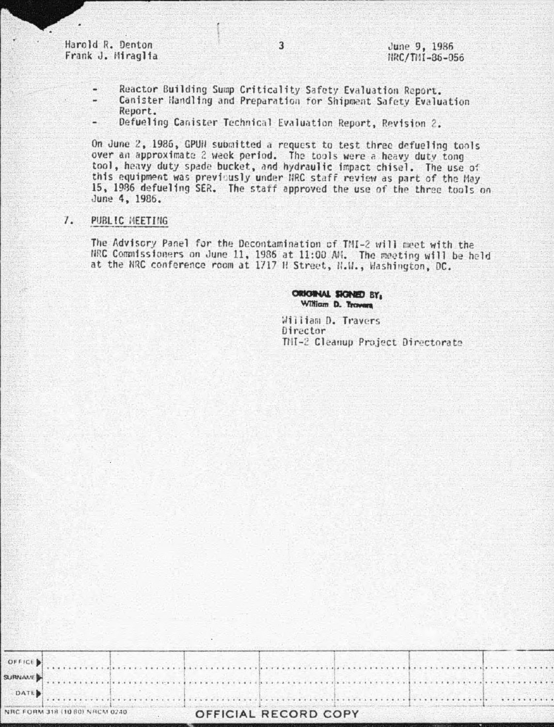Harold R. Denton Frank J. Miraglia

- Reactor Building Sump Criticality Safety Evaluation Report.
- Canister Handling and Preparation for Shipment Safety Evaluation Report.

 $\overline{3}$ 

Defueling Canister Technical Evaluation Report, Revision 2.

On June 2, 1986, GPUN submitted a request to test three defueling tools over an approximate 2 week period. The tools were a heavy duty tong tool, heavy duty spade bucket, and hydraulic impact chisel. The use of this equipment was previously under NRC staff review as part of the May 15, 1986 defueling SER. The staff approved the use of the three tools on June 4, 1986.

#### $\mathcal{I}$ . PUBLIC MEETING

The Advisory Panel for the Decontamination of TMI-2 will meet with the NRC Commissioners on June 11, 1986 at 11:00 AM. The meeting will be held at the NRC conference room at 1717 H Street, H.H., Washington, DC.

> ORIGINAL SIGNED BY, William D. Trovers

William D. Travers Director TMI-2 Cleanup Project Directorate

. . . . . . . . . . .

| $m \times n \times m$          |  |  |  |  |  |  |  |
|--------------------------------|--|--|--|--|--|--|--|
| <b>Salary)</b>                 |  |  |  |  |  |  |  |
| NRC FORM 318 (10 80) NRCM 0240 |  |  |  |  |  |  |  |

. . . . . . . . . . . . .

OFFICE B **SLIRNALIE** 

# OFFICIAL RECORD COPY